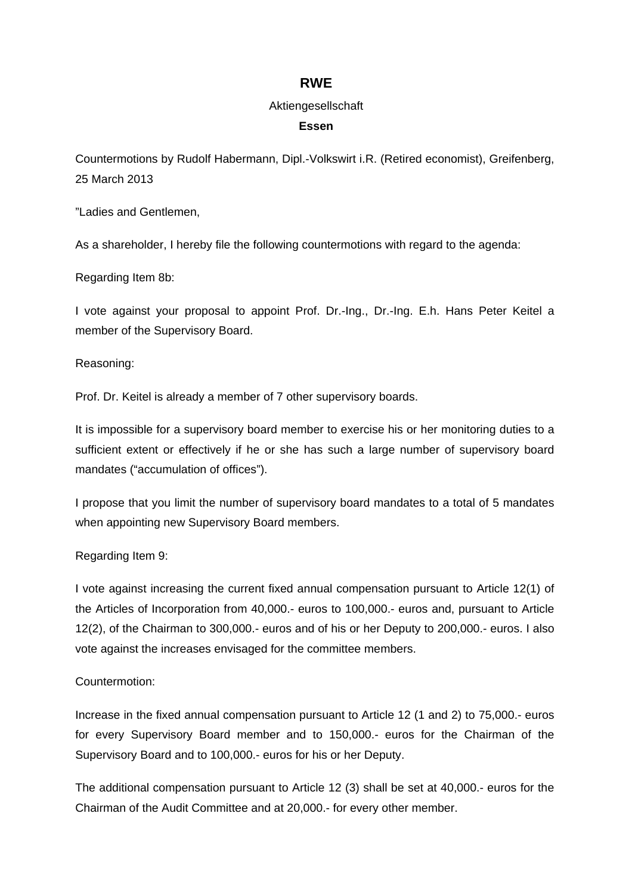# **RWE**

#### Aktiengesellschaft

#### **Essen**

Countermotions by Rudolf Habermann, Dipl.-Volkswirt i.R. (Retired economist), Greifenberg, 25 March 2013

"Ladies and Gentlemen,

As a shareholder, I hereby file the following countermotions with regard to the agenda:

Regarding Item 8b:

I vote against your proposal to appoint Prof. Dr.-Ing., Dr.-Ing. E.h. Hans Peter Keitel a member of the Supervisory Board.

Reasoning:

Prof. Dr. Keitel is already a member of 7 other supervisory boards.

It is impossible for a supervisory board member to exercise his or her monitoring duties to a sufficient extent or effectively if he or she has such a large number of supervisory board mandates ("accumulation of offices").

I propose that you limit the number of supervisory board mandates to a total of 5 mandates when appointing new Supervisory Board members.

# Regarding Item 9:

I vote against increasing the current fixed annual compensation pursuant to Article 12(1) of the Articles of Incorporation from 40,000.- euros to 100,000.- euros and, pursuant to Article 12(2), of the Chairman to 300,000.- euros and of his or her Deputy to 200,000.- euros. I also vote against the increases envisaged for the committee members.

# Countermotion:

Increase in the fixed annual compensation pursuant to Article 12 (1 and 2) to 75,000.- euros for every Supervisory Board member and to 150,000.- euros for the Chairman of the Supervisory Board and to 100,000.- euros for his or her Deputy.

The additional compensation pursuant to Article 12 (3) shall be set at 40,000.- euros for the Chairman of the Audit Committee and at 20,000.- for every other member.